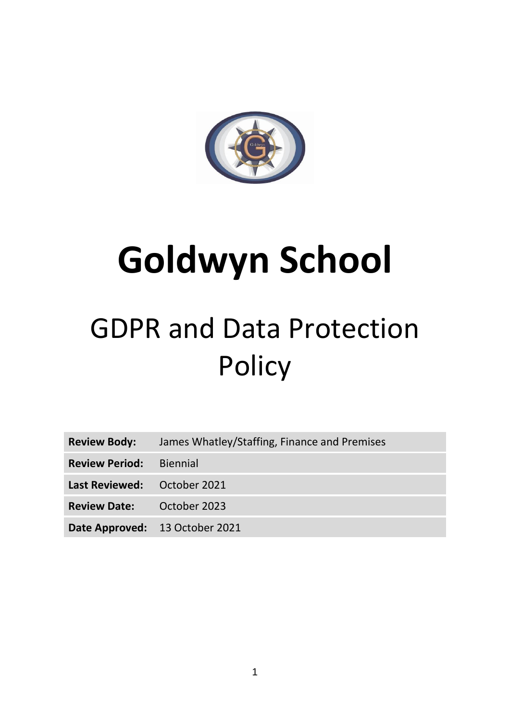

# **Goldwyn School**

# GDPR and Data Protection **Policy**

| <b>Review Body:</b> | James Whatley/Staffing, Finance and Premises |  |
|---------------------|----------------------------------------------|--|
|                     |                                              |  |

**Review Period:** Biennial

**Last Reviewed:** October 2021

**Review Date:** October 2023

**Date Approved:** 13 October 2021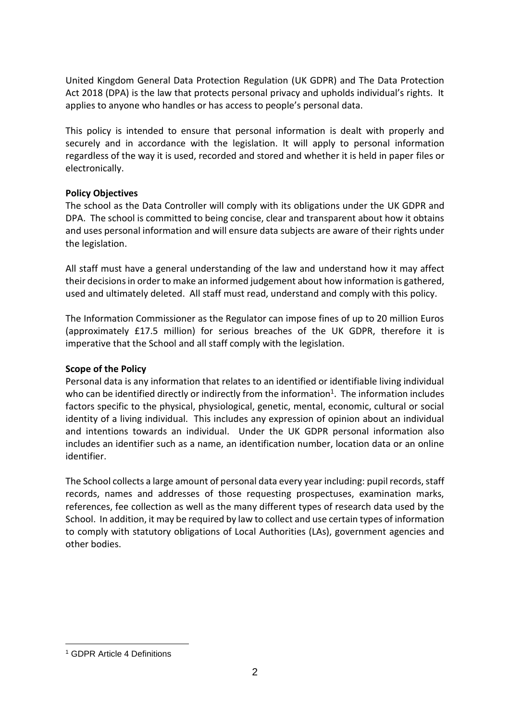United Kingdom General Data Protection Regulation (UK GDPR) and The Data Protection Act 2018 (DPA) is the law that protects personal privacy and upholds individual's rights. It applies to anyone who handles or has access to people's personal data.

This policy is intended to ensure that personal information is dealt with properly and securely and in accordance with the legislation. It will apply to personal information regardless of the way it is used, recorded and stored and whether it is held in paper files or electronically.

#### **Policy Objectives**

The school as the Data Controller will comply with its obligations under the UK GDPR and DPA. The school is committed to being concise, clear and transparent about how it obtains and uses personal information and will ensure data subjects are aware of their rights under the legislation.

All staff must have a general understanding of the law and understand how it may affect their decisions in order to make an informed judgement about how information is gathered, used and ultimately deleted. All staff must read, understand and comply with this policy.

The Information Commissioner as the Regulator can impose fines of up to 20 million Euros (approximately £17.5 million) for serious breaches of the UK GDPR, therefore it is imperative that the School and all staff comply with the legislation.

# **Scope of the Policy**

Personal data is any information that relates to an identified or identifiable living individual who can be identified directly or indirectly from the information<sup>1</sup>. The information includes factors specific to the physical, physiological, genetic, mental, economic, cultural or social identity of a living individual. This includes any expression of opinion about an individual and intentions towards an individual. Under the UK GDPR personal information also includes an identifier such as a name, an identification number, location data or an online identifier.

The School collects a large amount of personal data every year including: pupil records, staff records, names and addresses of those requesting prospectuses, examination marks, references, fee collection as well as the many different types of research data used by the School. In addition, it may be required by law to collect and use certain types of information to comply with statutory obligations of Local Authorities (LAs), government agencies and other bodies.

 $\overline{a}$ <sup>1</sup> GDPR Article 4 Definitions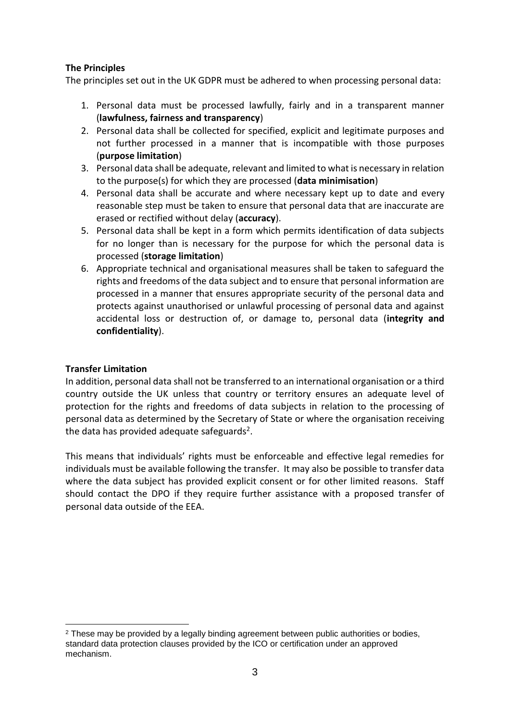# **The Principles**

The principles set out in the UK GDPR must be adhered to when processing personal data:

- 1. Personal data must be processed lawfully, fairly and in a transparent manner (**lawfulness, fairness and transparency**)
- 2. Personal data shall be collected for specified, explicit and legitimate purposes and not further processed in a manner that is incompatible with those purposes (**purpose limitation**)
- 3. Personal data shall be adequate, relevant and limited to what is necessary in relation to the purpose(s) for which they are processed (**data minimisation**)
- 4. Personal data shall be accurate and where necessary kept up to date and every reasonable step must be taken to ensure that personal data that are inaccurate are erased or rectified without delay (**accuracy**).
- 5. Personal data shall be kept in a form which permits identification of data subjects for no longer than is necessary for the purpose for which the personal data is processed (**storage limitation**)
- 6. Appropriate technical and organisational measures shall be taken to safeguard the rights and freedoms of the data subject and to ensure that personal information are processed in a manner that ensures appropriate security of the personal data and protects against unauthorised or unlawful processing of personal data and against accidental loss or destruction of, or damage to, personal data (**integrity and confidentiality**).

# **Transfer Limitation**

In addition, personal data shall not be transferred to an international organisation or a third country outside the UK unless that country or territory ensures an adequate level of protection for the rights and freedoms of data subjects in relation to the processing of personal data as determined by the Secretary of State or where the organisation receiving the data has provided adequate safeguards<sup>2</sup>.

This means that individuals' rights must be enforceable and effective legal remedies for individuals must be available following the transfer. It may also be possible to transfer data where the data subject has provided explicit consent or for other limited reasons. Staff should contact the DPO if they require further assistance with a proposed transfer of personal data outside of the EEA.

 $\overline{a}$ <sup>2</sup> These may be provided by a legally binding agreement between public authorities or bodies. standard data protection clauses provided by the ICO or certification under an approved mechanism.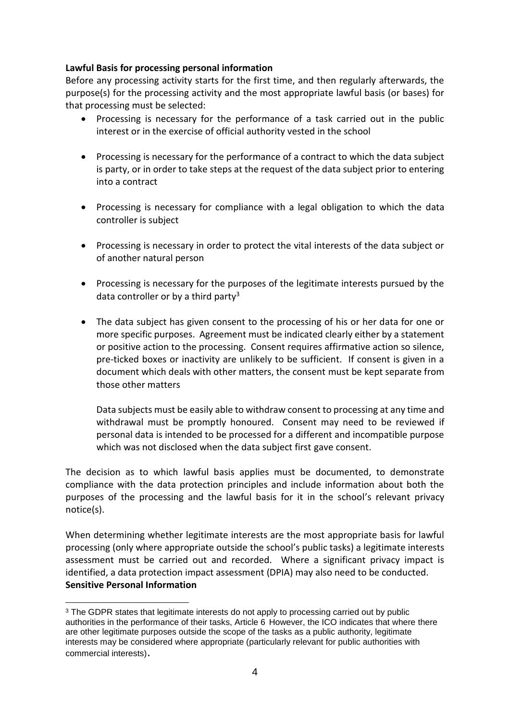#### **Lawful Basis for processing personal information**

Before any processing activity starts for the first time, and then regularly afterwards, the purpose(s) for the processing activity and the most appropriate lawful basis (or bases) for that processing must be selected:

- Processing is necessary for the performance of a task carried out in the public interest or in the exercise of official authority vested in the school
- Processing is necessary for the performance of a contract to which the data subject is party, or in order to take steps at the request of the data subject prior to entering into a contract
- Processing is necessary for compliance with a legal obligation to which the data controller is subject
- Processing is necessary in order to protect the vital interests of the data subject or of another natural person
- Processing is necessary for the purposes of the legitimate interests pursued by the data controller or by a third party<sup>3</sup>
- The data subject has given consent to the processing of his or her data for one or more specific purposes. Agreement must be indicated clearly either by a statement or positive action to the processing. Consent requires affirmative action so silence, pre-ticked boxes or inactivity are unlikely to be sufficient. If consent is given in a document which deals with other matters, the consent must be kept separate from those other matters

Data subjects must be easily able to withdraw consent to processing at any time and withdrawal must be promptly honoured. Consent may need to be reviewed if personal data is intended to be processed for a different and incompatible purpose which was not disclosed when the data subject first gave consent.

The decision as to which lawful basis applies must be documented, to demonstrate compliance with the data protection principles and include information about both the purposes of the processing and the lawful basis for it in the school's relevant privacy notice(s).

When determining whether legitimate interests are the most appropriate basis for lawful processing (only where appropriate outside the school's public tasks) a legitimate interests assessment must be carried out and recorded. Where a significant privacy impact is identified, a data protection impact assessment (DPIA) may also need to be conducted. **Sensitive Personal Information**

 $\overline{a}$ 

<sup>&</sup>lt;sup>3</sup> The GDPR states that legitimate interests do not apply to processing carried out by public authorities in the performance of their tasks, Article 6 However, the ICO indicates that where there are other legitimate purposes outside the scope of the tasks as a public authority, legitimate interests may be considered where appropriate (particularly relevant for public authorities with commercial interests).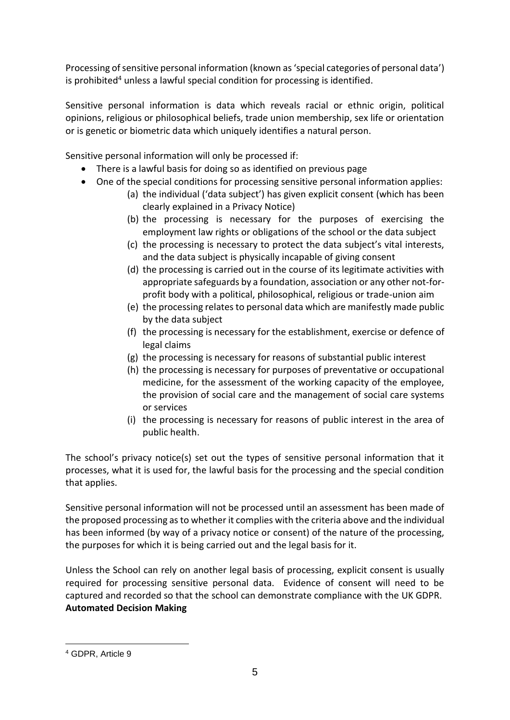Processing of sensitive personal information (known as 'special categories of personal data') is prohibited<sup>4</sup> unless a lawful special condition for processing is identified.

Sensitive personal information is data which reveals racial or ethnic origin, political opinions, religious or philosophical beliefs, trade union membership, sex life or orientation or is genetic or biometric data which uniquely identifies a natural person.

Sensitive personal information will only be processed if:

- There is a lawful basis for doing so as identified on previous page
- One of the special conditions for processing sensitive personal information applies:
	- (a) the individual ('data subject') has given explicit consent (which has been clearly explained in a Privacy Notice)
	- (b) the processing is necessary for the purposes of exercising the employment law rights or obligations of the school or the data subject
	- (c) the processing is necessary to protect the data subject's vital interests, and the data subject is physically incapable of giving consent
	- (d) the processing is carried out in the course of its legitimate activities with appropriate safeguards by a foundation, association or any other not-forprofit body with a political, philosophical, religious or trade-union aim
	- (e) the processing relates to personal data which are manifestly made public by the data subject
	- (f) the processing is necessary for the establishment, exercise or defence of legal claims
	- (g) the processing is necessary for reasons of substantial public interest
	- (h) the processing is necessary for purposes of preventative or occupational medicine, for the assessment of the working capacity of the employee, the provision of social care and the management of social care systems or services
	- (i) the processing is necessary for reasons of public interest in the area of public health.

The school's privacy notice(s) set out the types of sensitive personal information that it processes, what it is used for, the lawful basis for the processing and the special condition that applies.

Sensitive personal information will not be processed until an assessment has been made of the proposed processing as to whether it complies with the criteria above and the individual has been informed (by way of a privacy notice or consent) of the nature of the processing, the purposes for which it is being carried out and the legal basis for it.

Unless the School can rely on another legal basis of processing, explicit consent is usually required for processing sensitive personal data. Evidence of consent will need to be captured and recorded so that the school can demonstrate compliance with the UK GDPR. **Automated Decision Making**

 $\overline{a}$ <sup>4</sup> GDPR, Article 9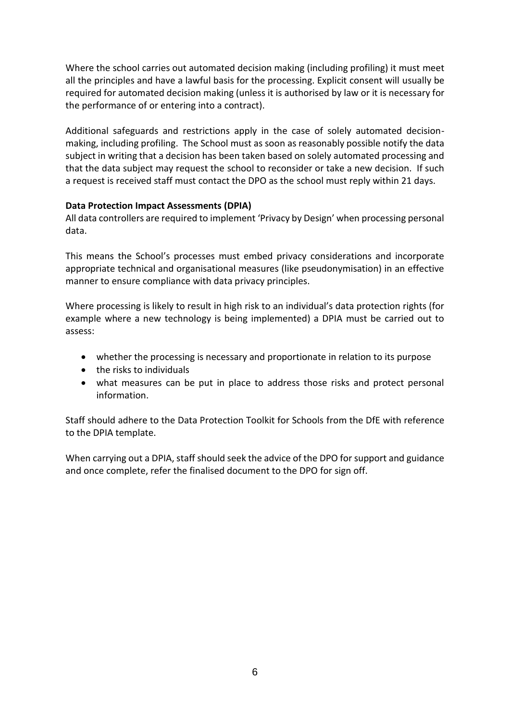Where the school carries out automated decision making (including profiling) it must meet all the principles and have a lawful basis for the processing. Explicit consent will usually be required for automated decision making (unless it is authorised by law or it is necessary for the performance of or entering into a contract).

Additional safeguards and restrictions apply in the case of solely automated decisionmaking, including profiling. The School must as soon as reasonably possible notify the data subject in writing that a decision has been taken based on solely automated processing and that the data subject may request the school to reconsider or take a new decision. If such a request is received staff must contact the DPO as the school must reply within 21 days.

# **Data Protection Impact Assessments (DPIA)**

All data controllers are required to implement 'Privacy by Design' when processing personal data.

This means the School's processes must embed privacy considerations and incorporate appropriate technical and organisational measures (like pseudonymisation) in an effective manner to ensure compliance with data privacy principles.

Where processing is likely to result in high risk to an individual's data protection rights (for example where a new technology is being implemented) a DPIA must be carried out to assess:

- whether the processing is necessary and proportionate in relation to its purpose
- the risks to individuals
- what measures can be put in place to address those risks and protect personal information.

Staff should adhere to the Data Protection Toolkit for Schools from the DfE with reference to the DPIA template.

When carrying out a DPIA, staff should seek the advice of the DPO for support and guidance and once complete, refer the finalised document to the DPO for sign off.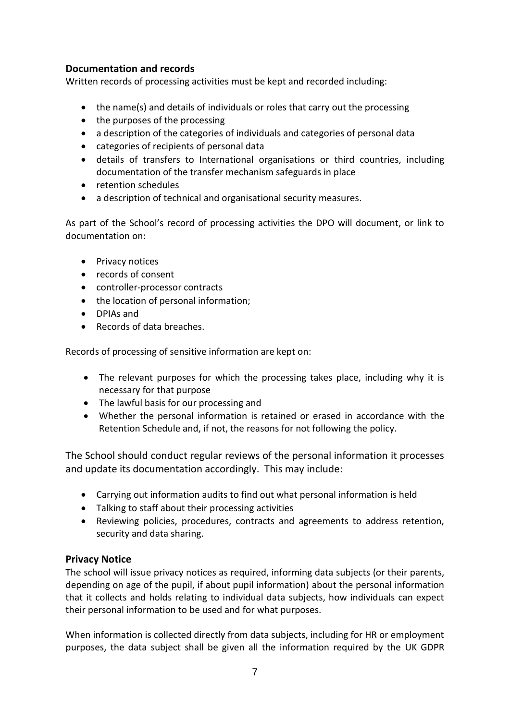# **Documentation and records**

Written records of processing activities must be kept and recorded including:

- the name(s) and details of individuals or roles that carry out the processing
- the purposes of the processing
- a description of the categories of individuals and categories of personal data
- categories of recipients of personal data
- details of transfers to International organisations or third countries, including documentation of the transfer mechanism safeguards in place
- retention schedules
- a description of technical and organisational security measures.

As part of the School's record of processing activities the DPO will document, or link to documentation on:

- Privacy notices
- records of consent
- controller-processor contracts
- the location of personal information;
- DPIAs and
- Records of data breaches.

Records of processing of sensitive information are kept on:

- The relevant purposes for which the processing takes place, including why it is necessary for that purpose
- The lawful basis for our processing and
- Whether the personal information is retained or erased in accordance with the Retention Schedule and, if not, the reasons for not following the policy.

The School should conduct regular reviews of the personal information it processes and update its documentation accordingly. This may include:

- Carrying out information audits to find out what personal information is held
- Talking to staff about their processing activities
- Reviewing policies, procedures, contracts and agreements to address retention, security and data sharing.

# **Privacy Notice**

The school will issue privacy notices as required, informing data subjects (or their parents, depending on age of the pupil, if about pupil information) about the personal information that it collects and holds relating to individual data subjects, how individuals can expect their personal information to be used and for what purposes.

When information is collected directly from data subjects, including for HR or employment purposes, the data subject shall be given all the information required by the UK GDPR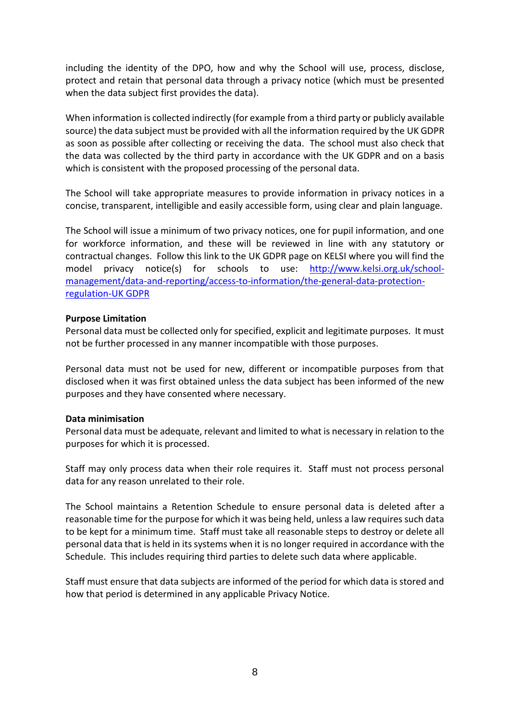including the identity of the DPO, how and why the School will use, process, disclose, protect and retain that personal data through a privacy notice (which must be presented when the data subject first provides the data).

When information is collected indirectly (for example from a third party or publicly available source) the data subject must be provided with all the information required by the UK GDPR as soon as possible after collecting or receiving the data. The school must also check that the data was collected by the third party in accordance with the UK GDPR and on a basis which is consistent with the proposed processing of the personal data.

The School will take appropriate measures to provide information in privacy notices in a concise, transparent, intelligible and easily accessible form, using clear and plain language.

The School will issue a minimum of two privacy notices, one for pupil information, and one for workforce information, and these will be reviewed in line with any statutory or contractual changes. Follow this link to the UK GDPR page on KELSI where you will find the model privacy notice(s) for schools to use: [http://www.kelsi.org.uk/school](http://www.kelsi.org.uk/school-management/data-and-reporting/access-to-information/the-general-data-protection-regulation-gdpr)[management/data-and-reporting/access-to-information/the-general-data-protection](http://www.kelsi.org.uk/school-management/data-and-reporting/access-to-information/the-general-data-protection-regulation-gdpr)[regulation-UK GDPR](http://www.kelsi.org.uk/school-management/data-and-reporting/access-to-information/the-general-data-protection-regulation-gdpr)

#### **Purpose Limitation**

Personal data must be collected only for specified, explicit and legitimate purposes. It must not be further processed in any manner incompatible with those purposes.

Personal data must not be used for new, different or incompatible purposes from that disclosed when it was first obtained unless the data subject has been informed of the new purposes and they have consented where necessary.

#### **Data minimisation**

Personal data must be adequate, relevant and limited to what is necessary in relation to the purposes for which it is processed.

Staff may only process data when their role requires it. Staff must not process personal data for any reason unrelated to their role.

The School maintains a Retention Schedule to ensure personal data is deleted after a reasonable time for the purpose for which it was being held, unless a law requires such data to be kept for a minimum time. Staff must take all reasonable steps to destroy or delete all personal data that is held in its systems when it is no longer required in accordance with the Schedule. This includes requiring third parties to delete such data where applicable.

Staff must ensure that data subjects are informed of the period for which data is stored and how that period is determined in any applicable Privacy Notice.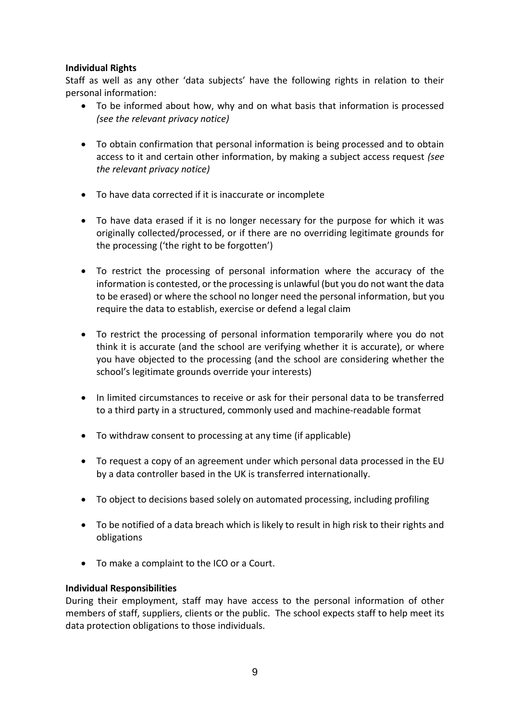# **Individual Rights**

Staff as well as any other 'data subjects' have the following rights in relation to their personal information:

- To be informed about how, why and on what basis that information is processed *(see the relevant privacy notice)*
- To obtain confirmation that personal information is being processed and to obtain access to it and certain other information, by making a subject access request *(see the relevant privacy notice)*
- To have data corrected if it is inaccurate or incomplete
- To have data erased if it is no longer necessary for the purpose for which it was originally collected/processed, or if there are no overriding legitimate grounds for the processing ('the right to be forgotten')
- To restrict the processing of personal information where the accuracy of the information is contested, or the processing is unlawful (but you do not want the data to be erased) or where the school no longer need the personal information, but you require the data to establish, exercise or defend a legal claim
- To restrict the processing of personal information temporarily where you do not think it is accurate (and the school are verifying whether it is accurate), or where you have objected to the processing (and the school are considering whether the school's legitimate grounds override your interests)
- In limited circumstances to receive or ask for their personal data to be transferred to a third party in a structured, commonly used and machine-readable format
- To withdraw consent to processing at any time (if applicable)
- To request a copy of an agreement under which personal data processed in the EU by a data controller based in the UK is transferred internationally.
- To object to decisions based solely on automated processing, including profiling
- To be notified of a data breach which is likely to result in high risk to their rights and obligations
- To make a complaint to the ICO or a Court.

# **Individual Responsibilities**

During their employment, staff may have access to the personal information of other members of staff, suppliers, clients or the public. The school expects staff to help meet its data protection obligations to those individuals.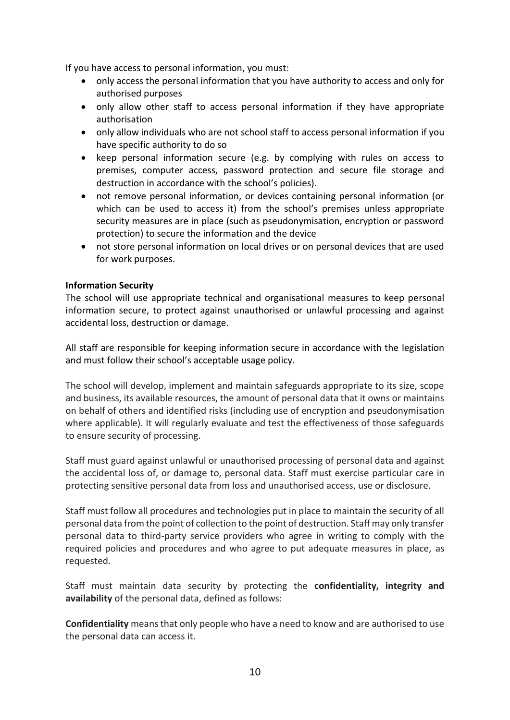If you have access to personal information, you must:

- only access the personal information that you have authority to access and only for authorised purposes
- only allow other staff to access personal information if they have appropriate authorisation
- only allow individuals who are not school staff to access personal information if you have specific authority to do so
- keep personal information secure (e.g. by complying with rules on access to premises, computer access, password protection and secure file storage and destruction in accordance with the school's policies).
- not remove personal information, or devices containing personal information (or which can be used to access it) from the school's premises unless appropriate security measures are in place (such as pseudonymisation, encryption or password protection) to secure the information and the device
- not store personal information on local drives or on personal devices that are used for work purposes.

# **Information Security**

The school will use appropriate technical and organisational measures to keep personal information secure, to protect against unauthorised or unlawful processing and against accidental loss, destruction or damage.

All staff are responsible for keeping information secure in accordance with the legislation and must follow their school's acceptable usage policy.

The school will develop, implement and maintain safeguards appropriate to its size, scope and business, its available resources, the amount of personal data that it owns or maintains on behalf of others and identified risks (including use of encryption and pseudonymisation where applicable). It will regularly evaluate and test the effectiveness of those safeguards to ensure security of processing.

Staff must guard against unlawful or unauthorised processing of personal data and against the accidental loss of, or damage to, personal data. Staff must exercise particular care in protecting sensitive personal data from loss and unauthorised access, use or disclosure.

Staff must follow all procedures and technologies put in place to maintain the security of all personal data from the point of collection to the point of destruction. Staff may only transfer personal data to third-party service providers who agree in writing to comply with the required policies and procedures and who agree to put adequate measures in place, as requested.

Staff must maintain data security by protecting the **confidentiality, integrity and availability** of the personal data, defined as follows:

**Confidentiality** means that only people who have a need to know and are authorised to use the personal data can access it.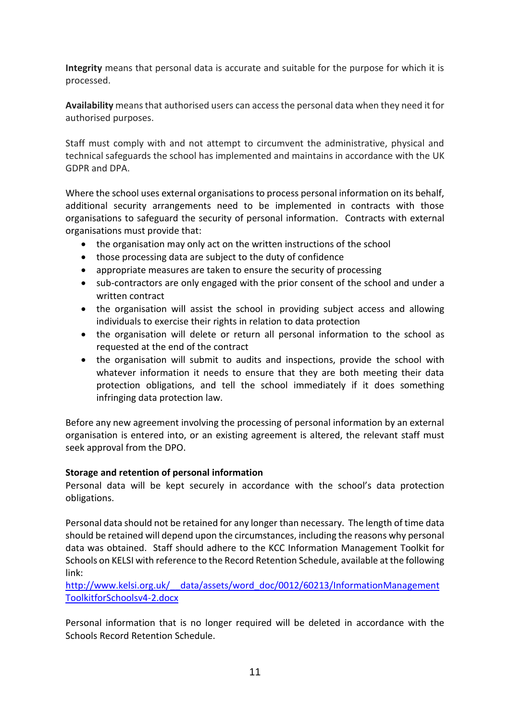**Integrity** means that personal data is accurate and suitable for the purpose for which it is processed.

**Availability** means that authorised users can access the personal data when they need it for authorised purposes.

Staff must comply with and not attempt to circumvent the administrative, physical and technical safeguards the school has implemented and maintains in accordance with the UK GDPR and DPA.

Where the school uses external organisations to process personal information on its behalf, additional security arrangements need to be implemented in contracts with those organisations to safeguard the security of personal information. Contracts with external organisations must provide that:

- the organisation may only act on the written instructions of the school
- those processing data are subject to the duty of confidence
- appropriate measures are taken to ensure the security of processing
- sub-contractors are only engaged with the prior consent of the school and under a written contract
- the organisation will assist the school in providing subject access and allowing individuals to exercise their rights in relation to data protection
- the organisation will delete or return all personal information to the school as requested at the end of the contract
- the organisation will submit to audits and inspections, provide the school with whatever information it needs to ensure that they are both meeting their data protection obligations, and tell the school immediately if it does something infringing data protection law.

Before any new agreement involving the processing of personal information by an external organisation is entered into, or an existing agreement is altered, the relevant staff must seek approval from the DPO.

# **Storage and retention of personal information**

Personal data will be kept securely in accordance with the school's data protection obligations.

Personal data should not be retained for any longer than necessary. The length of time data should be retained will depend upon the circumstances, including the reasons why personal data was obtained. Staff should adhere to the KCC Information Management Toolkit for Schools on KELSI with reference to the Record Retention Schedule, available at the following link:

http://www.kelsi.org.uk/ data/assets/word doc/0012/60213/InformationManagement [ToolkitforSchoolsv4-2.docx](http://www.kelsi.org.uk/__data/assets/word_doc/0012/60213/InformationManagementToolkitforSchoolsv4-2.docx)

Personal information that is no longer required will be deleted in accordance with the Schools Record Retention Schedule.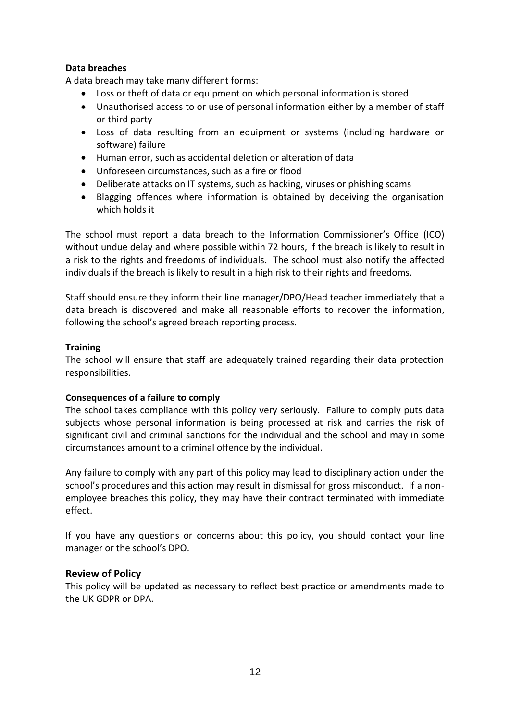# **Data breaches**

A data breach may take many different forms:

- Loss or theft of data or equipment on which personal information is stored
- Unauthorised access to or use of personal information either by a member of staff or third party
- Loss of data resulting from an equipment or systems (including hardware or software) failure
- Human error, such as accidental deletion or alteration of data
- Unforeseen circumstances, such as a fire or flood
- Deliberate attacks on IT systems, such as hacking, viruses or phishing scams
- Blagging offences where information is obtained by deceiving the organisation which holds it

The school must report a data breach to the Information Commissioner's Office (ICO) without undue delay and where possible within 72 hours, if the breach is likely to result in a risk to the rights and freedoms of individuals. The school must also notify the affected individuals if the breach is likely to result in a high risk to their rights and freedoms.

Staff should ensure they inform their line manager/DPO/Head teacher immediately that a data breach is discovered and make all reasonable efforts to recover the information, following the school's agreed breach reporting process.

#### **Training**

The school will ensure that staff are adequately trained regarding their data protection responsibilities.

# **Consequences of a failure to comply**

The school takes compliance with this policy very seriously. Failure to comply puts data subjects whose personal information is being processed at risk and carries the risk of significant civil and criminal sanctions for the individual and the school and may in some circumstances amount to a criminal offence by the individual.

Any failure to comply with any part of this policy may lead to disciplinary action under the school's procedures and this action may result in dismissal for gross misconduct. If a nonemployee breaches this policy, they may have their contract terminated with immediate effect.

If you have any questions or concerns about this policy, you should contact your line manager or the school's DPO.

# **Review of Policy**

This policy will be updated as necessary to reflect best practice or amendments made to the UK GDPR or DPA.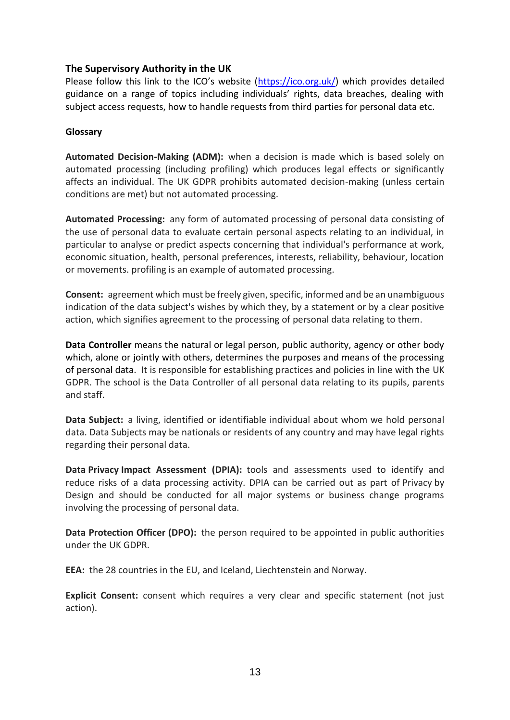# **The Supervisory Authority in the UK**

Please follow this link to the ICO's website ([https://ico.org.uk/\)](https://ico.org.uk/) which provides detailed guidance on a range of topics including individuals' rights, data breaches, dealing with subject access requests, how to handle requests from third parties for personal data etc.

#### **Glossary**

**Automated Decision-Making (ADM):** when a decision is made which is based solely on automated processing (including profiling) which produces legal effects or significantly affects an individual. The UK GDPR prohibits automated decision-making (unless certain conditions are met) but not automated processing.

**Automated Processing:** any form of automated processing of personal data consisting of the use of personal data to evaluate certain personal aspects relating to an individual, in particular to analyse or predict aspects concerning that individual's performance at work, economic situation, health, personal preferences, interests, reliability, behaviour, location or movements. profiling is an example of automated processing.

**Consent:** agreement which must be freely given, specific, informed and be an unambiguous indication of the data subject's wishes by which they, by a statement or by a clear positive action, which signifies agreement to the processing of personal data relating to them.

**Data Controller** means the natural or legal person, public authority, agency or other body which, alone or jointly with others, determines the purposes and means of the processing of personal data. It is responsible for establishing practices and policies in line with the UK GDPR. The school is the Data Controller of all personal data relating to its pupils, parents and staff.

**Data Subject:** a living, identified or identifiable individual about whom we hold personal data. Data Subjects may be nationals or residents of any country and may have legal rights regarding their personal data.

**Data Privacy Impact Assessment (DPIA):** tools and assessments used to identify and reduce risks of a data processing activity. DPIA can be carried out as part of Privacy by Design and should be conducted for all major systems or business change programs involving the processing of personal data.

**Data Protection Officer (DPO):** the person required to be appointed in public authorities under the UK GDPR.

**EEA:** the 28 countries in the EU, and Iceland, Liechtenstein and Norway.

**Explicit Consent:** consent which requires a very clear and specific statement (not just action).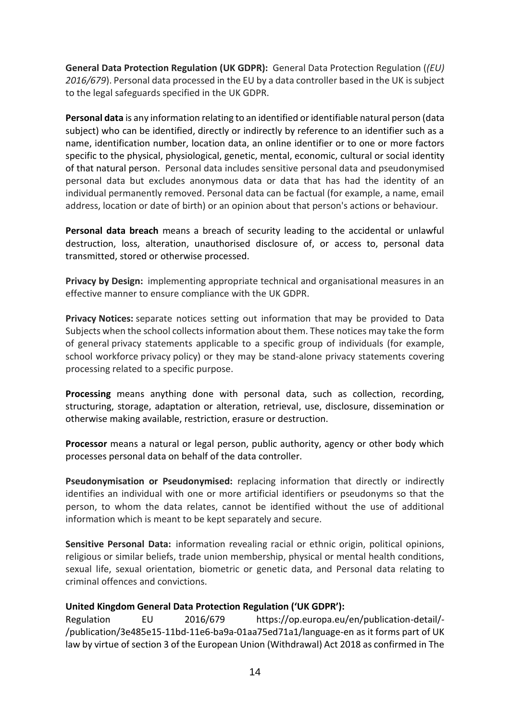**General Data Protection Regulation (UK GDPR):** General Data Protection Regulation (*(EU) 2016/679*). Personal data processed in the EU by a data controller based in the UK is subject to the legal safeguards specified in the UK GDPR.

**Personal data** is any information relating to an identified or identifiable natural person (data subject) who can be identified, directly or indirectly by reference to an identifier such as a name, identification number, location data, an online identifier or to one or more factors specific to the physical, physiological, genetic, mental, economic, cultural or social identity of that natural person. Personal data includes sensitive personal data and pseudonymised personal data but excludes anonymous data or data that has had the identity of an individual permanently removed. Personal data can be factual (for example, a name, email address, location or date of birth) or an opinion about that person's actions or behaviour.

**Personal data breach** means a breach of security leading to the accidental or unlawful destruction, loss, alteration, unauthorised disclosure of, or access to, personal data transmitted, stored or otherwise processed.

**Privacy by Design:** implementing appropriate technical and organisational measures in an effective manner to ensure compliance with the UK GDPR.

**Privacy Notices:** separate notices setting out information that may be provided to Data Subjects when the school collects information about them. These notices may take the form of general privacy statements applicable to a specific group of individuals (for example, school workforce privacy policy) or they may be stand-alone privacy statements covering processing related to a specific purpose.

**Processing** means anything done with personal data, such as collection, recording, structuring, storage, adaptation or alteration, retrieval, use, disclosure, dissemination or otherwise making available, restriction, erasure or destruction.

**Processor** means a natural or legal person, public authority, agency or other body which processes personal data on behalf of the data controller.

**Pseudonymisation or Pseudonymised:** replacing information that directly or indirectly identifies an individual with one or more artificial identifiers or pseudonyms so that the person, to whom the data relates, cannot be identified without the use of additional information which is meant to be kept separately and secure.

**Sensitive Personal Data:** information revealing racial or ethnic origin, political opinions, religious or similar beliefs, trade union membership, physical or mental health conditions, sexual life, sexual orientation, biometric or genetic data, and Personal data relating to criminal offences and convictions.

#### **United Kingdom General Data Protection Regulation ('UK GDPR'):**

Regulation EU 2016/679 https://op.europa.eu/en/publication-detail/- /publication/3e485e15-11bd-11e6-ba9a-01aa75ed71a1/language-en as it forms part of UK law by virtue of section 3 of the European Union (Withdrawal) Act 2018 as confirmed in The